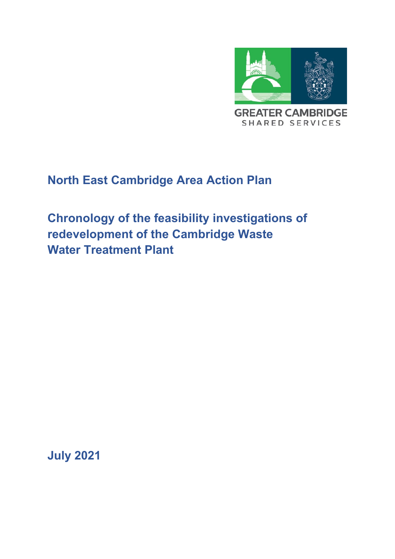

# **North East Cambridge Area Action Plan**

**Chronology of the feasibility investigations of redevelopment of the Cambridge Waste Water Treatment Plant** 

**July 2021**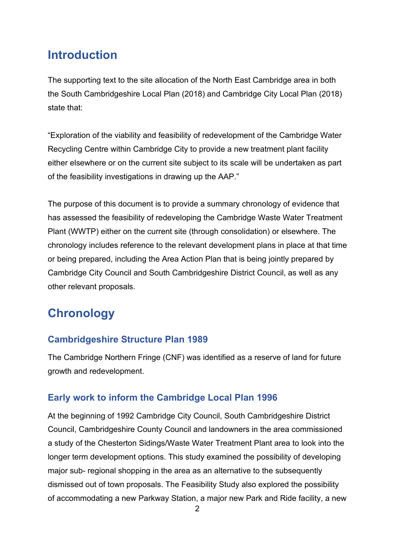## **Introduction**

The supporting text to the site allocation of the North East Cambridge area in both the South Cambridgeshire Local Plan (2018) and Cambridge City Local Plan (2018) state that:

"Exploration of the viability and feasibility of redevelopment of the Cambridge Water Recycling Centre within Cambridge City to provide a new treatment plant facility either elsewhere or on the current site subject to its scale will be undertaken as part of the feasibility investigations in drawing up the AAP."

The purpose of this document is to provide a summary chronology of evidence that has assessed the feasibility of redeveloping the Cambridge Waste Water Treatment Plant (WWTP) either on the current site (through consolidation) or elsewhere. The chronology includes reference to the relevant development plans in place at that time or being prepared, including the Area Action Plan that is being jointly prepared by Cambridge City Council and South Cambridgeshire District Council, as well as any other relevant proposals.

# **Chronology**

### **Cambridgeshire Structure Plan 1989**

The Cambridge Northern Fringe (CNF) was identified as a reserve of land for future growth and redevelopment.

### **Early work to inform the Cambridge Local Plan 1996**

At the beginning of 1992 Cambridge City Council, South Cambridgeshire District Council, Cambridgeshire County Council and landowners in the area commissioned a study of the Chesterton Sidings/Waste Water Treatment Plant area to look into the longer term development options. This study examined the possibility of developing major sub- regional shopping in the area as an alternative to the subsequently dismissed out of town proposals. The Feasibility Study also explored the possibility of accommodating a new Parkway Station, a major new Park and Ride facility, a new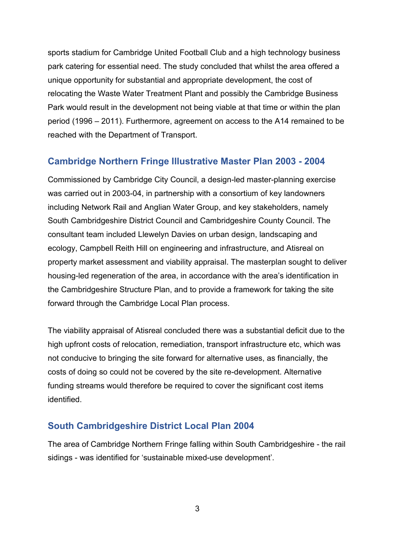sports stadium for Cambridge United Football Club and a high technology business park catering for essential need. The study concluded that whilst the area offered a unique opportunity for substantial and appropriate development, the cost of relocating the Waste Water Treatment Plant and possibly the Cambridge Business Park would result in the development not being viable at that time or within the plan period (1996 – 2011). Furthermore, agreement on access to the A14 remained to be reached with the Department of Transport.

#### **Cambridge Northern Fringe Illustrative Master Plan 2003 - 2004**

Commissioned by Cambridge City Council, a design-led master-planning exercise was carried out in 2003-04, in partnership with a consortium of key landowners including Network Rail and Anglian Water Group, and key stakeholders, namely South Cambridgeshire District Council and Cambridgeshire County Council. The consultant team included Llewelyn Davies on urban design, landscaping and ecology, Campbell Reith Hill on engineering and infrastructure, and Atisreal on property market assessment and viability appraisal. The masterplan sought to deliver housing-led regeneration of the area, in accordance with the area's identification in the Cambridgeshire Structure Plan, and to provide a framework for taking the site forward through the Cambridge Local Plan process.

The viability appraisal of Atisreal concluded there was a substantial deficit due to the high upfront costs of relocation, remediation, transport infrastructure etc, which was not conducive to bringing the site forward for alternative uses, as financially, the costs of doing so could not be covered by the site re-development. Alternative funding streams would therefore be required to cover the significant cost items identified.

#### **South Cambridgeshire District Local Plan 2004**

The area of Cambridge Northern Fringe falling within South Cambridgeshire - the rail sidings - was identified for 'sustainable mixed-use development'.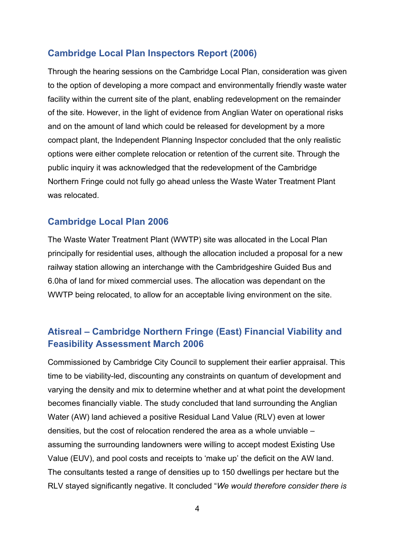#### **Cambridge Local Plan Inspectors Report (2006)**

Through the hearing sessions on the Cambridge Local Plan, consideration was given to the option of developing a more compact and environmentally friendly waste water facility within the current site of the plant, enabling redevelopment on the remainder of the site. However, in the light of evidence from Anglian Water on operational risks and on the amount of land which could be released for development by a more compact plant, the Independent Planning Inspector concluded that the only realistic options were either complete relocation or retention of the current site. Through the public inquiry it was acknowledged that the redevelopment of the Cambridge Northern Fringe could not fully go ahead unless the Waste Water Treatment Plant was relocated.

#### **Cambridge Local Plan 2006**

The Waste Water Treatment Plant (WWTP) site was allocated in the Local Plan principally for residential uses, although the allocation included a proposal for a new railway station allowing an interchange with the Cambridgeshire Guided Bus and 6.0ha of land for mixed commercial uses. The allocation was dependant on the WWTP being relocated, to allow for an acceptable living environment on the site.

### **Atisreal – Cambridge Northern Fringe (East) Financial Viability and Feasibility Assessment March 2006**

Commissioned by Cambridge City Council to supplement their earlier appraisal. This time to be viability-led, discounting any constraints on quantum of development and varying the density and mix to determine whether and at what point the development becomes financially viable. The study concluded that land surrounding the Anglian Water (AW) land achieved a positive Residual Land Value (RLV) even at lower densities, but the cost of relocation rendered the area as a whole unviable – assuming the surrounding landowners were willing to accept modest Existing Use Value (EUV), and pool costs and receipts to 'make up' the deficit on the AW land. The consultants tested a range of densities up to 150 dwellings per hectare but the RLV stayed significantly negative. It concluded "*We would therefore consider there is*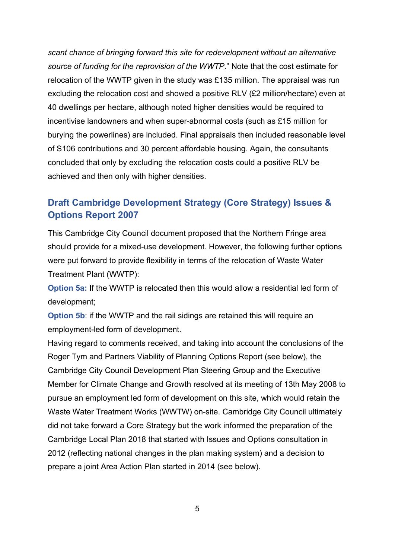*scant chance of bringing forward this site for redevelopment without an alternative source of funding for the reprovision of the WWTP*." Note that the cost estimate for relocation of the WWTP given in the study was £135 million. The appraisal was run excluding the relocation cost and showed a positive RLV (£2 million/hectare) even at 40 dwellings per hectare, although noted higher densities would be required to incentivise landowners and when super-abnormal costs (such as £15 million for burying the powerlines) are included. Final appraisals then included reasonable level of S106 contributions and 30 percent affordable housing. Again, the consultants concluded that only by excluding the relocation costs could a positive RLV be achieved and then only with higher densities.

### **Draft Cambridge Development Strategy (Core Strategy) Issues & Options Report 2007**

This Cambridge City Council document proposed that the Northern Fringe area should provide for a mixed-use development. However, the following further options were put forward to provide flexibility in terms of the relocation of Waste Water Treatment Plant (WWTP):

**Option 5a:** If the WWTP is relocated then this would allow a residential led form of development;

**Option 5b:** if the WWTP and the rail sidings are retained this will require an employment-led form of development.

Having regard to comments received, and taking into account the conclusions of the Roger Tym and Partners Viability of Planning Options Report (see below), the Cambridge City Council Development Plan Steering Group and the Executive Member for Climate Change and Growth resolved at its meeting of 13th May 2008 to pursue an employment led form of development on this site, which would retain the Waste Water Treatment Works (WWTW) on-site. Cambridge City Council ultimately did not take forward a Core Strategy but the work informed the preparation of the Cambridge Local Plan 2018 that started with Issues and Options consultation in 2012 (reflecting national changes in the plan making system) and a decision to prepare a joint Area Action Plan started in 2014 (see below).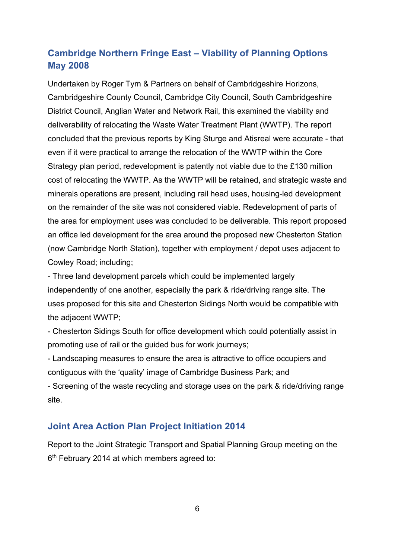### **[Cambridge Northern Fringe East –](https://files.cambridge.gov.uk/public/ldf/coredocs/Cambridge%20Northern%20Fringe%20East%20Viability%20Study.pdf) Viability of Planning Options [May 2008](https://files.cambridge.gov.uk/public/ldf/coredocs/Cambridge%20Northern%20Fringe%20East%20Viability%20Study.pdf)**

Undertaken by Roger Tym & Partners on behalf of Cambridgeshire Horizons, Cambridgeshire County Council, Cambridge City Council, South Cambridgeshire District Council, Anglian Water and Network Rail, this examined the viability and deliverability of relocating the Waste Water Treatment Plant (WWTP). The report concluded that the previous reports by King Sturge and Atisreal were accurate - that even if it were practical to arrange the relocation of the WWTP within the Core Strategy plan period, redevelopment is patently not viable due to the £130 million cost of relocating the WWTP. As the WWTP will be retained, and strategic waste and minerals operations are present, including rail head uses, housing-led development on the remainder of the site was not considered viable. Redevelopment of parts of the area for employment uses was concluded to be deliverable. This report proposed an office led development for the area around the proposed new Chesterton Station (now Cambridge North Station), together with employment / depot uses adjacent to Cowley Road; including;

- Three land development parcels which could be implemented largely independently of one another, especially the park & ride/driving range site. The uses proposed for this site and Chesterton Sidings North would be compatible with the adjacent WWTP;

- Chesterton Sidings South for office development which could potentially assist in promoting use of rail or the guided bus for work journeys;

- Landscaping measures to ensure the area is attractive to office occupiers and contiguous with the 'quality' image of Cambridge Business Park; and - Screening of the waste recycling and storage uses on the park & ride/driving range site.

#### **Joint Area Action Plan Project Initiation 2014**

Report to the Joint Strategic Transport and Spatial Planning Group meeting on the 6th February 2014 at which members agreed to: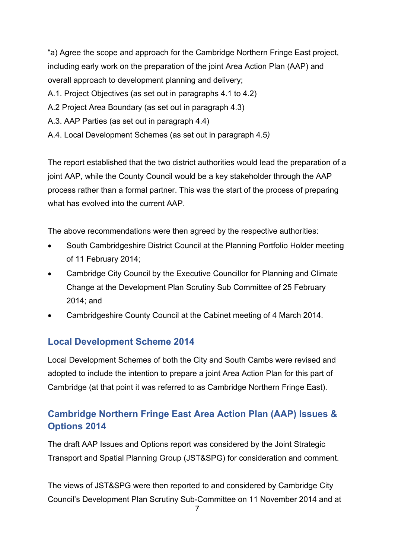"a) Agree the scope and approach for the Cambridge Northern Fringe East project, including early work on the preparation of the joint Area Action Plan (AAP) and overall approach to development planning and delivery;

- A.1. Project Objectives (as set out in paragraphs 4.1 to 4.2)
- A.2 Project Area Boundary (as set out in paragraph 4.3)
- A.3. AAP Parties (as set out in paragraph 4.4)
- A.4. Local Development Schemes (as set out in paragraph 4.5*)*

The report established that the two district authorities would lead the preparation of a joint AAP, while the County Council would be a key stakeholder through the AAP process rather than a formal partner. This was the start of the process of preparing what has evolved into the current AAP.

The above recommendations were then agreed by the respective authorities:

- South Cambridgeshire District Council at the Planning Portfolio Holder meeting of 11 February 2014;
- Cambridge City Council by the Executive Councillor for Planning and Climate Change at the Development Plan Scrutiny Sub Committee of 25 February 2014; and
- Cambridgeshire County Council at the Cabinet meeting of 4 March 2014.

### **[Local Development Scheme 2014](https://www.cambridge.gov.uk/media/1754/cambridge-lds-2014-26032014-final-version.pdf#:%7E:text=26%20March%202014%20.%20This%20scheme%20was%20approved,is%20brought%20into%20effect%20on%2026%20March%202014.)**

Local Development Schemes of both the City and South Cambs were revised and adopted to include the intention to prepare a joint Area Action Plan for this part of Cambridge (at that point it was referred to as Cambridge Northern Fringe East).

## **Cambridge Northern Fringe East Area Action Plan (AAP) [Issues &](https://www.scambs.gov.uk/media/8564/final-cnfe-issues-and-options-report.pdf)  [Options 2014](https://www.scambs.gov.uk/media/8564/final-cnfe-issues-and-options-report.pdf)**

The draft AAP Issues and Options report was considered by the Joint Strategic Transport and Spatial Planning Group (JST&SPG) for consideration and comment.

The views of JST&SPG were then reported to and considered by Cambridge City Council's Development Plan Scrutiny Sub-Committee on 11 November 2014 and at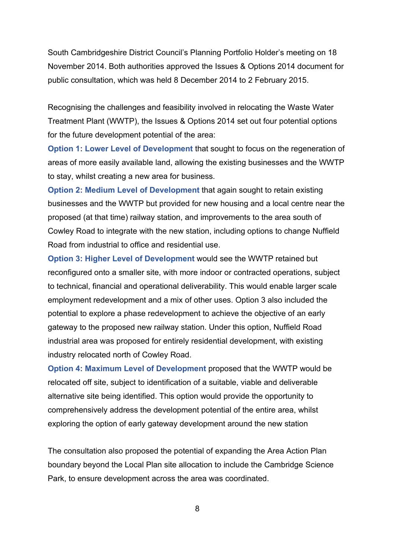South Cambridgeshire District Council's Planning Portfolio Holder's meeting on 18 November 2014. Both authorities approved the Issues & Options 2014 document for public consultation, which was held 8 December 2014 to 2 February 2015.

Recognising the challenges and feasibility involved in relocating the Waste Water Treatment Plant (WWTP), the Issues & Options 2014 set out four potential options for the future development potential of the area:

**Option 1: Lower Level of Development** that sought to focus on the regeneration of areas of more easily available land, allowing the existing businesses and the WWTP to stay, whilst creating a new area for business.

**Option 2: Medium Level of Development** that again sought to retain existing businesses and the WWTP but provided for new housing and a local centre near the proposed (at that time) railway station, and improvements to the area south of Cowley Road to integrate with the new station, including options to change Nuffield Road from industrial to office and residential use.

**Option 3: Higher Level of Development** would see the WWTP retained but reconfigured onto a smaller site, with more indoor or contracted operations, subject to technical, financial and operational deliverability. This would enable larger scale employment redevelopment and a mix of other uses. Option 3 also included the potential to explore a phase redevelopment to achieve the objective of an early gateway to the proposed new railway station. Under this option, Nuffield Road industrial area was proposed for entirely residential development, with existing industry relocated north of Cowley Road.

**Option 4: Maximum Level of Development** proposed that the WWTP would be relocated off site, subject to identification of a suitable, viable and deliverable alternative site being identified. This option would provide the opportunity to comprehensively address the development potential of the entire area, whilst exploring the option of early gateway development around the new station

The consultation also proposed the potential of expanding the Area Action Plan boundary beyond the Local Plan site allocation to include the Cambridge Science Park, to ensure development across the area was coordinated.

8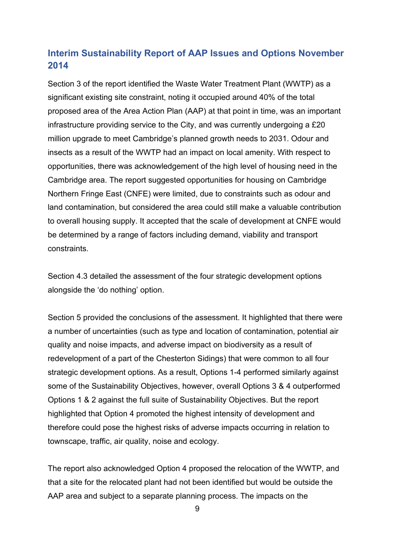### **Interim Sustainability Report [of AAP Issues and Options November](https://cambridge.oc2.uk/document/180/34587)  [2014](https://cambridge.oc2.uk/document/180/34587)**

Section 3 of the report identified the Waste Water Treatment Plant (WWTP) as a significant existing site constraint, noting it occupied around 40% of the total proposed area of the Area Action Plan (AAP) at that point in time, was an important infrastructure providing service to the City, and was currently undergoing a £20 million upgrade to meet Cambridge's planned growth needs to 2031. Odour and insects as a result of the WWTP had an impact on local amenity. With respect to opportunities, there was acknowledgement of the high level of housing need in the Cambridge area. The report suggested opportunities for housing on Cambridge Northern Fringe East (CNFE) were limited, due to constraints such as odour and land contamination, but considered the area could still make a valuable contribution to overall housing supply. It accepted that the scale of development at CNFE would be determined by a range of factors including demand, viability and transport constraints.

Section 4.3 detailed the assessment of the four strategic development options alongside the 'do nothing' option.

Section 5 provided the conclusions of the assessment. It highlighted that there were a number of uncertainties (such as type and location of contamination, potential air quality and noise impacts, and adverse impact on biodiversity as a result of redevelopment of a part of the Chesterton Sidings) that were common to all four strategic development options. As a result, Options 1-4 performed similarly against some of the Sustainability Objectives, however, overall Options 3 & 4 outperformed Options 1 & 2 against the full suite of Sustainability Objectives. But the report highlighted that Option 4 promoted the highest intensity of development and therefore could pose the highest risks of adverse impacts occurring in relation to townscape, traffic, air quality, noise and ecology.

The report also acknowledged Option 4 proposed the relocation of the WWTP, and that a site for the relocated plant had not been identified but would be outside the AAP area and subject to a separate planning process. The impacts on the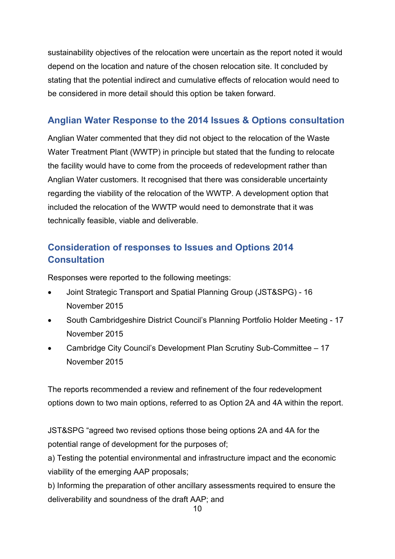sustainability objectives of the relocation were uncertain as the report noted it would depend on the location and nature of the chosen relocation site. It concluded by stating that the potential indirect and cumulative effects of relocation would need to be considered in more detail should this option be taken forward.

## **Anglian Water Response to the 2014 Issues & Options consultation**

Anglian Water commented that they did not object to the relocation of the Waste Water Treatment Plant (WWTP) in principle but stated that the funding to relocate the facility would have to come from the proceeds of redevelopment rather than Anglian Water customers. It recognised that there was considerable uncertainty regarding the viability of the relocation of the WWTP. A development option that included the relocation of the WWTP would need to demonstrate that it was technically feasible, viable and deliverable.

## **[Consideration of responses to Issues and](https://democracy.cambridge.gov.uk/documents/s31366/CNFE%20AAP%20-%20JSTSPG%20report%2016%20Nov%202015%20-%20FINAL.pdf) Options 2014 [Consultation](https://democracy.cambridge.gov.uk/documents/s31366/CNFE%20AAP%20-%20JSTSPG%20report%2016%20Nov%202015%20-%20FINAL.pdf)**

Responses were reported to the following meetings:

- Joint Strategic Transport and Spatial Planning Group (JST&SPG) 16 November 2015
- South Cambridgeshire District Council's Planning Portfolio Holder Meeting 17 November 2015
- Cambridge City Council's Development Plan Scrutiny Sub-Committee 17 November 2015

The reports recommended a review and refinement of the four redevelopment options down to two main options, referred to as Option 2A and 4A within the report.

JST&SPG "agreed two revised options those being options 2A and 4A for the potential range of development for the purposes of;

a) Testing the potential environmental and infrastructure impact and the economic viability of the emerging AAP proposals;

b) Informing the preparation of other ancillary assessments required to ensure the deliverability and soundness of the draft AAP; and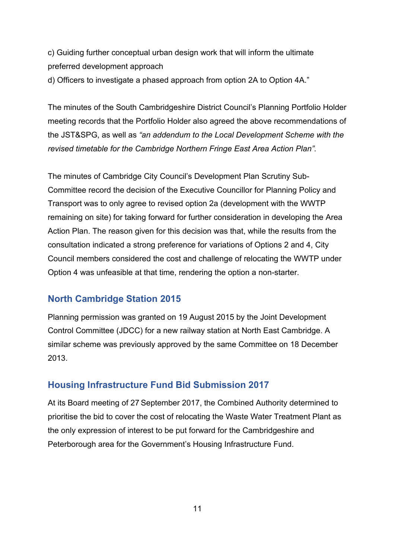c) Guiding further conceptual urban design work that will inform the ultimate preferred development approach

d) Officers to investigate a phased approach from option 2A to Option 4A."

The minutes of the South Cambridgeshire District Council's Planning Portfolio Holder meeting records that the Portfolio Holder also agreed the above recommendations of the JST&SPG, as well as *"an addendum to the Local Development Scheme with the revised timetable for the Cambridge Northern Fringe East Area Action Plan".*

The minutes of Cambridge City Council's Development Plan Scrutiny Sub-Committee record the decision of the Executive Councillor for Planning Policy and Transport was to only agree to revised option 2a (development with the WWTP remaining on site) for taking forward for further consideration in developing the Area Action Plan. The reason given for this decision was that, while the results from the consultation indicated a strong preference for variations of Options 2 and 4, City Council members considered the cost and challenge of relocating the WWTP under Option 4 was unfeasible at that time, rendering the option a non-starter.

#### **[North Cambridge Station](https://democracy.cambridge.gov.uk/documents/s30673/Minutes%20Public%20Pack%2019082015%20Joint%20Development%20Control%20Committee%20-%20Cambridge%20Fringes.pdf) 2015**

Planning permission was granted on 19 August 2015 by the Joint Development Control Committee (JDCC) for a new railway station at North East Cambridge. A similar scheme was previously approved by the same Committee on 18 December 2013.

#### **[Housing Infrastructure Fund Bid](https://cambridgeshirepeterboroughcagov.cmis.uk.com/Document.ashx?czJKcaeAi5tUFL1DTL2UE4zNRBcoShgo=hP%2fReeAa4zligV4wV3%2bBi9E9FghnY1OF2RwhwAZudxqszwBVLrq5Kw%3d%3d&rUzwRPf%2bZ3zd4E7Ikn8Lyw%3d%3d=pwRE6AGJFLDNlh225F5QMaQWCtPHwdhUfCZ%2fLUQzgA2uL5jNRG4jdQ%3d%3d&mCTIbCubSFfXsDGW9IXnlg%3d%3d=hFflUdN3100%3d&kCx1AnS9%2fpWZQ40DXFvdEw%3d%3d=hFflUdN3100%3d&uJovDxwdjMPoYv%2bAJvYtyA%3d%3d=ctNJFf55vVA%3d&FgPlIEJYlotS%2bYGoBi5olA%3d%3d=NHdURQburHA%3d&d9Qjj0ag1Pd993jsyOJqFvmyB7X0CSQK=ctNJFf55vVA%3d&WGewmoAfeNR9xqBux0r1Q8Za60lavYmz=ctNJFf55vVA%3d&WGewmoAfeNQ16B2MHuCpMRKZMwaG1PaO=ctNJFf55vVA%3d) Submission 2017**

At its Board meeting of 27 September 2017, the Combined Authority determined to prioritise the bid to cover the cost of relocating the Waste Water Treatment Plant as the only expression of interest to be put forward for the Cambridgeshire and Peterborough area for the Government's Housing Infrastructure Fund.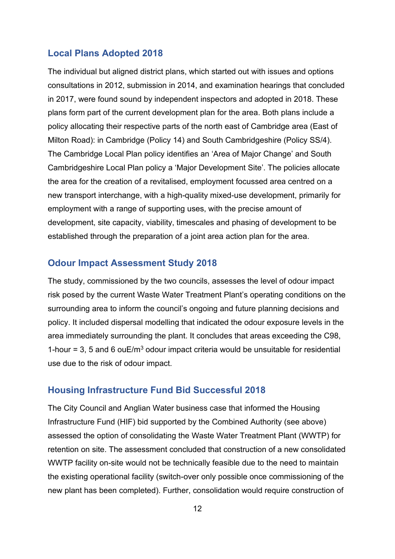#### **Local Plans Adopted 2018**

The individual but aligned district plans, which started out with issues and options consultations in 2012, submission in 2014, and examination hearings that concluded in 2017, were found sound by independent inspectors and adopted in 2018. These plans form part of the current development plan for the area. Both plans include a policy allocating their respective parts of the north east of Cambridge area (East of Milton Road): in Cambridge (Policy 14) and South Cambridgeshire (Policy SS/4). The Cambridge Local Plan policy identifies an 'Area of Major Change' and South Cambridgeshire Local Plan policy a 'Major Development Site'. The policies allocate the area for the creation of a revitalised, employment focussed area centred on a new transport interchange, with a high-quality mixed-use development, primarily for employment with a range of supporting uses, with the precise amount of development, site capacity, viability, timescales and phasing of development to be established through the preparation of a joint area action plan for the area.

#### **[Odour Impact Assessment](https://www.greatercambridgeplanning.org/media/1247/odour-impact-assessment-for-cambridge-water-recycling-centre-2018.pdf) Study 2018**

The study, commissioned by the two councils, assesses the level of odour impact risk posed by the current Waste Water Treatment Plant's operating conditions on the surrounding area to inform the council's ongoing and future planning decisions and policy. It included dispersal modelling that indicated the odour exposure levels in the area immediately surrounding the plant. It concludes that areas exceeding the C98, 1-hour = 3, 5 and 6 ouE/m<sup>3</sup> odour impact criteria would be unsuitable for residential use due to the risk of odour impact.

#### **Housing Infrastructure Fund Bid Successful 2018**

The City Council and Anglian Water business case that informed the Housing Infrastructure Fund (HIF) bid supported by the Combined Authority (see above) assessed the option of consolidating the Waste Water Treatment Plant (WWTP) for retention on site. The assessment concluded that construction of a new consolidated WWTP facility on-site would not be technically feasible due to the need to maintain the existing operational facility (switch-over only possible once commissioning of the new plant has been completed). Further, consolidation would require construction of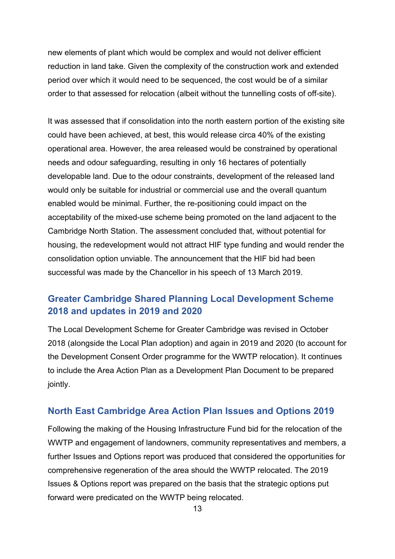new elements of plant which would be complex and would not deliver efficient reduction in land take. Given the complexity of the construction work and extended period over which it would need to be sequenced, the cost would be of a similar order to that assessed for relocation (albeit without the tunnelling costs of off-site).

It was assessed that if consolidation into the north eastern portion of the existing site could have been achieved, at best, this would release circa 40% of the existing operational area. However, the area released would be constrained by operational needs and odour safeguarding, resulting in only 16 hectares of potentially developable land. Due to the odour constraints, development of the released land would only be suitable for industrial or commercial use and the overall quantum enabled would be minimal. Further, the re-positioning could impact on the acceptability of the mixed-use scheme being promoted on the land adjacent to the Cambridge North Station. The assessment concluded that, without potential for housing, the redevelopment would not attract HIF type funding and would render the consolidation option unviable. The announcement that the HIF bid had been successful was made by the Chancellor in his speech of 13 March 2019.

### **[Greater Cambridge Shared Planning Local Development Scheme](https://www.greatercambridgeplanning.org/media/1377/greater-cambridge-local-development-scheme-2020.pdf)  [2018 and updates](https://www.greatercambridgeplanning.org/media/1377/greater-cambridge-local-development-scheme-2020.pdf) in 2019 and 2020**

The Local Development Scheme for Greater Cambridge was revised in October 2018 (alongside the Local Plan adoption) and again in 2019 and 2020 (to account for the Development Consent Order programme for the WWTP relocation). It continues to include the Area Action Plan as a Development Plan Document to be prepared jointly.

#### **North East Cambridge Area Action Plan Issues and [Options 2019](https://www.scambs.gov.uk/media/12990/north-east-cambridge-aap-issues-and-options-2019-low-res.pdf)**

Following the making of the Housing Infrastructure Fund bid for the relocation of the WWTP and engagement of landowners, community representatives and members, a further Issues and Options report was produced that considered the opportunities for comprehensive regeneration of the area should the WWTP relocated. The 2019 Issues & Options report was prepared on the basis that the strategic options put forward were predicated on the WWTP being relocated.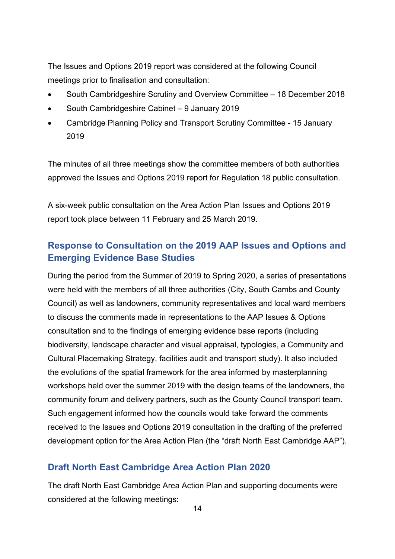The Issues and Options 2019 report was considered at the following Council meetings prior to finalisation and consultation:

- South Cambridgeshire Scrutiny and Overview Committee 18 December 2018
- South Cambridgeshire Cabinet 9 January 2019
- Cambridge Planning Policy and Transport Scrutiny Committee 15 January 2019

The minutes of all three meetings show the committee members of both authorities approved the Issues and Options 2019 report for Regulation 18 public consultation.

A six-week public consultation on the Area Action Plan Issues and Options 2019 report took place between 11 February and 25 March 2019.

### **[Response to Consultation](https://www.greatercambridgeplanning.org/emerging-plans-and-guidance/north-east-cambridge-area-action-plan/document-library/) on the 2019 AAP Issues and Options and [Emerging Evidence Base Studies](https://www.greatercambridgeplanning.org/emerging-plans-and-guidance/north-east-cambridge-area-action-plan/document-library/)**

During the period from the Summer of 2019 to Spring 2020, a series of presentations were held with the members of all three authorities (City, South Cambs and County Council) as well as landowners, community representatives and local ward members to discuss the comments made in representations to the AAP Issues & Options consultation and to the findings of emerging evidence base reports (including biodiversity, landscape character and visual appraisal, typologies, a Community and Cultural Placemaking Strategy, facilities audit and transport study). It also included the evolutions of the spatial framework for the area informed by masterplanning workshops held over the summer 2019 with the design teams of the landowners, the community forum and delivery partners, such as the County Council transport team. Such engagement informed how the councils would take forward the comments received to the Issues and Options 2019 consultation in the drafting of the preferred development option for the Area Action Plan (the "draft North East Cambridge AAP").

#### **[Draft North East Cambridge Area Action Plan](https://consultations.greatercambridgeplanning.org/document/213) 2020**

The draft North East Cambridge Area Action Plan and supporting documents were considered at the following meetings: